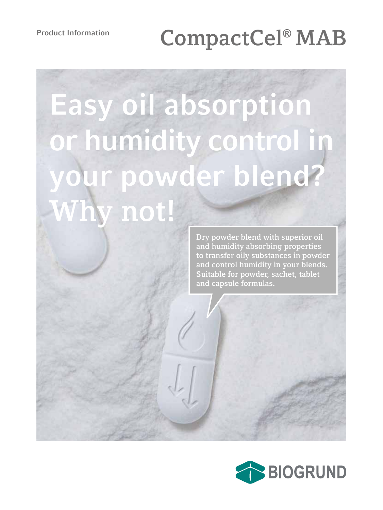# **Product Information CompactCel® MAB**

# **Easy oil absorption or humidity control in your powder blend? Why not!**

**Dry powder blend with superior oil and humidity absorbing properties to transfer oily substances in powder and control humidity in your blends. Suitable for powder, sachet, tablet and capsule formulas.**